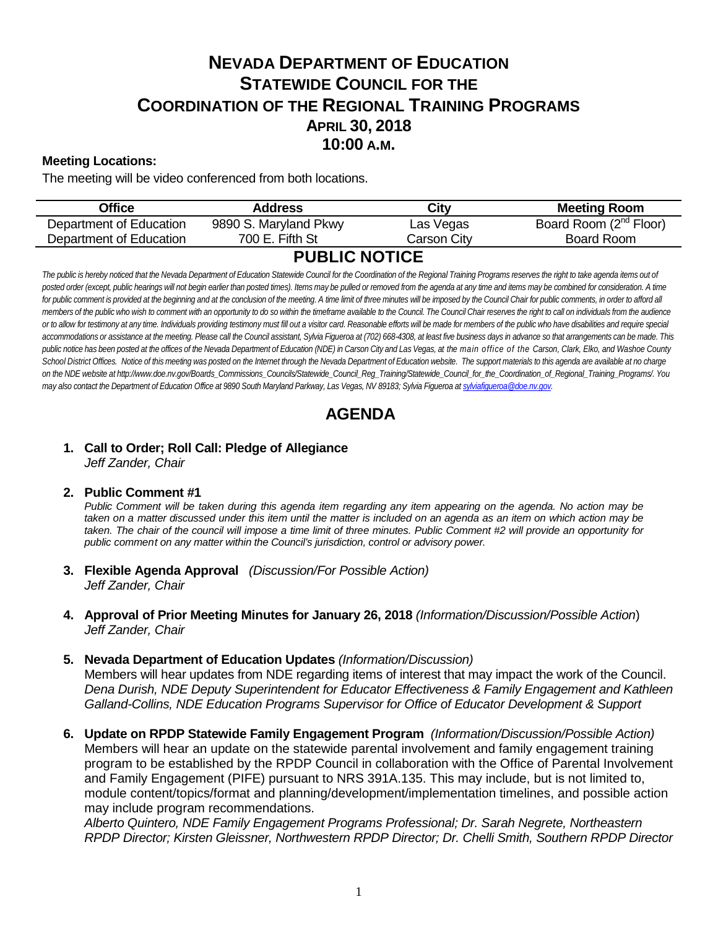# **NEVADA DEPARTMENT OF EDUCATION STATEWIDE COUNCIL FOR THE COORDINATION OF THE REGIONAL TRAINING PROGRAMS APRIL 30, 2018 10:00 A.M.**

### **Meeting Locations:**

The meeting will be video conferenced from both locations.

| Office                  | Address               | City        | <b>Meeting Room</b>                |
|-------------------------|-----------------------|-------------|------------------------------------|
| Department of Education | 9890 S. Maryland Pkwy | Las Vegas   | Board Room (2 <sup>nd</sup> Floor) |
| Department of Education | 700 E. Fifth St       | Carson Citv | Board Room                         |
| <b>BURIER MARIAE</b>    |                       |             |                                    |

### **PUBLIC NOTICE**

The public is hereby noticed that the Nevada Department of Education Statewide Council for the Coordination of the Regional Training Programs reserves the right to take agenda items out of posted order (except, public hearings will not begin earlier than posted times). Items may be pulled or removed from the agenda at any time and items may be combined for consideration. A time for public comment is provided at the beginning and at the conclusion of the meeting. A time limit of three minutes will be imposed by the Council Chair for public comments, in order to afford all *members of the public who wish to comment with an opportunity to do so within the timeframe available to the Council. The Council Chair reserves the right to call on individuals from the audience*  or to allow for testimony at any time. Individuals providing testimony must fill out a visitor card. Reasonable efforts will be made for members of the public who have disabilities and require special *accommodations or assistance at the meeting. Please call the Council assistant, Sylvia Figueroa at (702) 668-4308, at least five business days in advance so that arrangements can be made. This public notice has been posted at the offices of the Nevada Department of Education (NDE) in Carson City and Las Vegas, at the main office of the Carson, Clark, Elko, and Washoe County*  School District Offices. Notice of this meeting was posted on the Internet through th[e Nevada Department of Education w](http://www.doe.nv.gov/)ebsite. The support materials to this agenda are available at no charge *on the NDE website at http://www.doe.nv.gov/Boards\_Commissions\_Councils/Statewide\_Council\_Reg\_Training/Statewide\_Council\_for\_the\_Coordination\_of\_Regional\_Training\_Programs/. You*  may also contact the Department of Education Office at 9890 South Maryland Parkway, Las Vegas, NV 89183; Sylvia Figueroa at [sylviafigueroa@doe.nv.gov.](mailto:sylviafigueroa@doe.nv.gov)

## **AGENDA**

#### **1. Call to Order; Roll Call: Pledge of Allegiance** *Jeff Zander, Chair*

#### **2. Public Comment #1**

*Public Comment will be taken during this agenda item regarding any item appearing on the agenda. No action may be* taken on a matter discussed under this item until the matter is included on an agenda as an item on which action may be *taken. The chair of the council will impose a time limit of three minutes. Public Comment #2 will provide an opportunity for public comment on any matter within the Council's jurisdiction, control or advisory power.*

- **3. Flexible Agenda Approval** *(Discussion/For Possible Action) Jeff Zander, Chair*
- **4. Approval of Prior Meeting Minutes for January 26, 2018** *(Information/Discussion/Possible Action*) *Jeff Zander, Chair*
- **5. Nevada Department of Education Updates** *(Information/Discussion)*

Members will hear updates from NDE regarding items of interest that may impact the work of the Council. *Dena Durish, NDE Deputy Superintendent for Educator Effectiveness & Family Engagement and Kathleen Galland-Collins, NDE Education Programs Supervisor for Office of Educator Development & Support*

**6. Update on RPDP Statewide Family Engagement Program** *(Information/Discussion/Possible Action)*  Members will hear an update on the statewide parental involvement and family engagement training program to be established by the RPDP Council in collaboration with the Office of Parental Involvement and Family Engagement (PIFE) pursuant to NRS 391A.135. This may include, but is not limited to, module content/topics/format and planning/development/implementation timelines, and possible action may include program recommendations.

*Alberto Quintero, NDE Family Engagement Programs Professional; Dr. Sarah Negrete, Northeastern RPDP Director; Kirsten Gleissner, Northwestern RPDP Director; Dr. Chelli Smith, Southern RPDP Director*